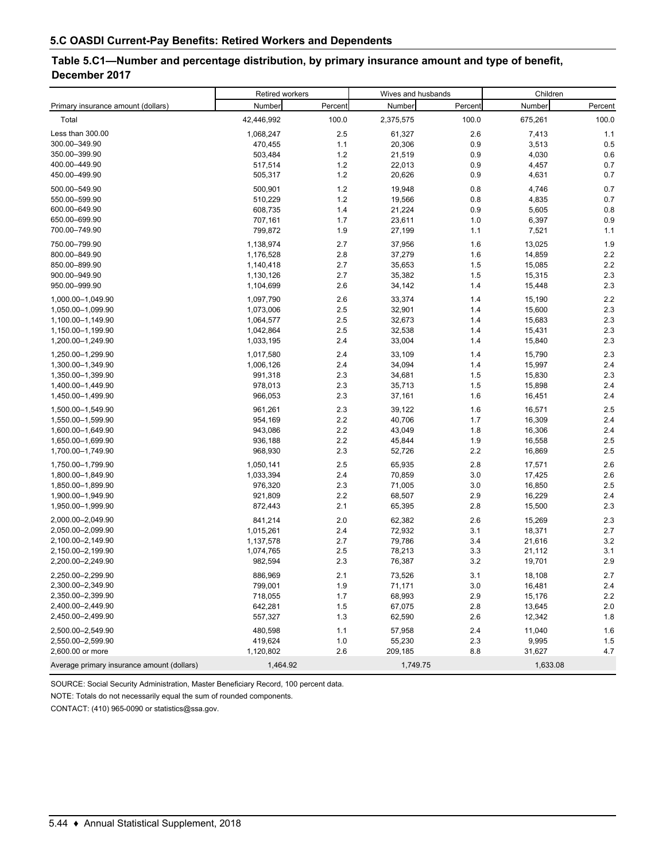## **Table 5.C1—Number and percentage distribution, by primary insurance amount and type of benefit, December 2017**

|                                            | Retired workers |         | Wives and husbands |         | Children |         |  |
|--------------------------------------------|-----------------|---------|--------------------|---------|----------|---------|--|
| Primary insurance amount (dollars)         | Number          | Percent | Number             | Percent | Number   | Percent |  |
| Total                                      | 42,446,992      | 100.0   | 2,375,575          | 100.0   | 675,261  | 100.0   |  |
| Less than 300.00                           | 1,068,247       | 2.5     | 61,327             | 2.6     | 7,413    | 1.1     |  |
| 300.00-349.90                              | 470,455         | 1.1     | 20,306             | 0.9     | 3,513    | 0.5     |  |
| 350.00-399.90                              | 503,484         | 1.2     | 21,519             | 0.9     | 4,030    | 0.6     |  |
| 400.00-449.90                              | 517,514         | 1.2     | 22,013             | 0.9     | 4,457    | 0.7     |  |
| 450.00-499.90                              | 505,317         | $1.2$   | 20,626             | 0.9     | 4,631    | 0.7     |  |
| 500.00-549.90                              | 500,901         | 1.2     | 19,948             | 0.8     | 4,746    | 0.7     |  |
| 550.00-599.90                              | 510,229         | 1.2     | 19,566             | 0.8     | 4,835    | 0.7     |  |
| 600.00-649.90                              | 608,735         | 1.4     | 21,224             | 0.9     | 5,605    | 0.8     |  |
| 650.00-699.90                              | 707,161         | 1.7     | 23,611             | 1.0     | 6,397    | 0.9     |  |
| 700.00-749.90                              | 799,872         | 1.9     | 27,199             | 1.1     | 7,521    | 1.1     |  |
| 750.00-799.90                              | 1,138,974       | 2.7     | 37,956             | 1.6     | 13,025   | 1.9     |  |
| 800.00-849.90                              | 1,176,528       | 2.8     | 37,279             | 1.6     | 14,859   | 2.2     |  |
| 850.00-899.90                              | 1,140,418       | 2.7     | 35,653             | 1.5     | 15,085   | 2.2     |  |
| 900.00-949.90                              | 1,130,126       | 2.7     | 35,382             | 1.5     | 15,315   | 2.3     |  |
| 950.00-999.90                              | 1,104,699       | 2.6     | 34,142             | 1.4     | 15,448   | 2.3     |  |
| 1,000.00-1,049.90                          | 1,097,790       | 2.6     | 33,374             | 1.4     | 15,190   | 2.2     |  |
| 1,050.00-1,099.90                          | 1,073,006       | 2.5     | 32,901             | 1.4     | 15,600   | 2.3     |  |
| 1,100.00-1,149.90                          | 1,064,577       | 2.5     | 32,673             | 1.4     | 15,683   | 2.3     |  |
| 1,150.00-1,199.90                          | 1,042,864       | 2.5     | 32,538             | 1.4     | 15,431   | 2.3     |  |
| 1,200.00-1,249.90                          | 1,033,195       | 2.4     | 33,004             | 1.4     | 15,840   | 2.3     |  |
| 1,250.00-1,299.90                          | 1,017,580       | 2.4     | 33,109             | 1.4     | 15,790   | 2.3     |  |
| 1,300.00-1,349.90                          | 1,006,126       | 2.4     | 34,094             | 1.4     | 15,997   | 2.4     |  |
| 1,350.00-1,399.90                          | 991,318         | 2.3     | 34,681             | 1.5     | 15,830   | 2.3     |  |
| 1,400.00-1,449.90                          | 978,013         | 2.3     | 35,713             | 1.5     | 15,898   | 2.4     |  |
| 1,450.00-1,499.90                          | 966,053         | 2.3     | 37,161             | 1.6     | 16,451   | 2.4     |  |
| 1,500.00-1,549.90                          | 961,261         | 2.3     | 39,122             | 1.6     | 16,571   | 2.5     |  |
| 1,550.00-1,599.90                          | 954,169         | 2.2     | 40,706             | 1.7     | 16,309   | 2.4     |  |
| 1,600.00-1,649.90                          | 943,086         | 2.2     | 43,049             | 1.8     | 16,306   | 2.4     |  |
| 1,650.00-1,699.90                          | 936,188         | $2.2\,$ | 45,844             | 1.9     | 16,558   | 2.5     |  |
| 1,700.00-1,749.90                          | 968,930         | 2.3     | 52,726             | 2.2     | 16,869   | 2.5     |  |
| 1,750.00-1,799.90                          | 1,050,141       | 2.5     | 65,935             | 2.8     | 17,571   | 2.6     |  |
| 1,800.00-1,849.90                          | 1,033,394       | 2.4     | 70,859             | 3.0     | 17,425   | 2.6     |  |
| 1,850.00-1,899.90                          | 976,320         | 2.3     | 71,005             | 3.0     | 16,850   | 2.5     |  |
| 1,900.00-1,949.90                          | 921,809         | 2.2     | 68,507             | 2.9     | 16,229   | 2.4     |  |
| 1,950.00-1,999.90                          | 872,443         | 2.1     | 65,395             | 2.8     | 15,500   | 2.3     |  |
| 2,000.00-2,049.90                          | 841,214         | 2.0     | 62,382             | 2.6     | 15,269   | 2.3     |  |
| 2,050.00-2,099.90                          | 1,015,261       | 2.4     | 72,932             | 3.1     | 18,371   | 2.7     |  |
| 2,100.00-2,149.90                          | 1,137,578       | 2.7     | 79,786             | 3.4     | 21,616   | 3.2     |  |
| 2,150.00-2,199.90                          | 1,074,765       | 2.5     | 78,213             | 3.3     | 21,112   | 3.1     |  |
| 2,200.00-2,249.90                          | 982,594         | 2.3     | 76,387             | 3.2     | 19,701   | 2.9     |  |
| 2,250.00-2,299.90                          | 886,969         | 2.1     | 73,526             | 3.1     | 18,108   | 2.7     |  |
| 2,300.00-2,349.90                          | 799,001         | 1.9     | 71,171             | 3.0     | 16,481   | 2.4     |  |
| 2,350.00-2,399.90                          | 718,055         | 1.7     | 68,993             | 2.9     | 15,176   | 2.2     |  |
| 2,400.00-2,449.90                          | 642,281         | 1.5     | 67,075             | 2.8     | 13,645   | 2.0     |  |
| 2,450.00-2,499.90                          | 557,327         | 1.3     | 62,590             | 2.6     | 12,342   | 1.8     |  |
| 2,500.00-2,549.90                          | 480,598         | 1.1     | 57,958             | 2.4     | 11,040   | 1.6     |  |
| 2,550.00-2,599.90                          | 419,624         | 1.0     | 55,230             | $2.3\,$ | 9,995    | 1.5     |  |
| 2,600.00 or more                           | 1,120,802       | 2.6     | 209,185            | 8.8     | 31,627   | 4.7     |  |
| Average primary insurance amount (dollars) | 1,464.92        |         | 1,749.75           |         | 1,633.08 |         |  |

SOURCE: Social Security Administration, Master Beneficiary Record, 100 percent data.

NOTE: Totals do not necessarily equal the sum of rounded components.

CONTACT: (410) 965-0090 or statistics@ssa.gov.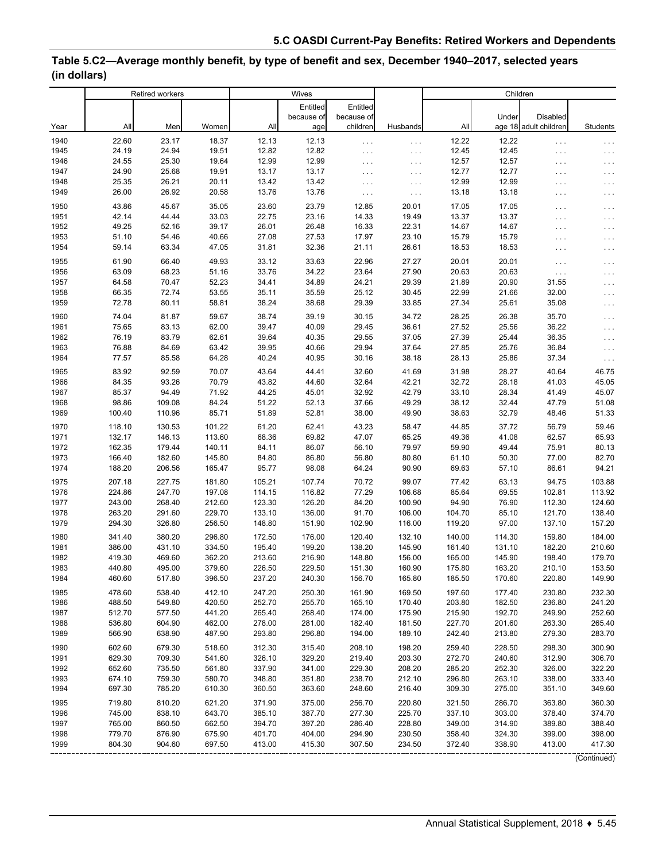## **Table 5.C2—Average monthly benefit, by type of benefit and sex, December 1940–2017, selected years (in dollars)**

|      | <b>Retired workers</b> |        |        | Wives  |            |            |          | Children |        |                       |                   |
|------|------------------------|--------|--------|--------|------------|------------|----------|----------|--------|-----------------------|-------------------|
|      |                        |        |        |        | Entitled   | Entitled   |          |          |        |                       |                   |
|      |                        |        |        |        | because of | because of |          |          | Under  | <b>Disabled</b>       |                   |
| Year | All                    | Men    | Women  | All    | age        | children   | Husbands | All      |        | age 18 adult children | Students          |
| 1940 | 22.60                  | 23.17  | 18.37  | 12.13  | 12.13      | $\ldots$   | $\cdots$ | 12.22    | 12.22  | $\ldots$              | $\cdots$          |
| 1945 | 24.19                  | 24.94  | 19.51  | 12.82  | 12.82      | $\cdots$   | $\ldots$ | 12.45    | 12.45  | .                     | $\cdots$          |
| 1946 | 24.55                  | 25.30  | 19.64  | 12.99  | 12.99      | $\ldots$   | $\ldots$ | 12.57    | 12.57  | .                     | $\cdots$          |
| 1947 | 24.90                  | 25.68  | 19.91  | 13.17  | 13.17      | $\cdots$   | $\ldots$ | 12.77    | 12.77  | .                     | $\cdots$          |
| 1948 | 25.35                  | 26.21  | 20.11  | 13.42  | 13.42      | $\cdots$   | $\ldots$ | 12.99    | 12.99  | .                     | $\cdots$          |
| 1949 | 26.00                  | 26.92  | 20.58  | 13.76  | 13.76      | $\cdots$   | $\ldots$ | 13.18    | 13.18  | .                     | $\cdots$          |
| 1950 | 43.86                  | 45.67  | 35.05  | 23.60  | 23.79      | 12.85      | 20.01    | 17.05    | 17.05  | .                     | $\cdots$          |
| 1951 | 42.14                  | 44.44  | 33.03  | 22.75  | 23.16      | 14.33      | 19.49    | 13.37    | 13.37  | .                     | $\cdots$          |
| 1952 | 49.25                  | 52.16  | 39.17  | 26.01  | 26.48      | 16.33      | 22.31    | 14.67    | 14.67  | .                     | $\cdots$          |
| 1953 | 51.10                  | 54.46  | 40.66  | 27.08  | 27.53      | 17.97      | 23.10    | 15.79    | 15.79  | .                     | $\cdots$          |
| 1954 | 59.14                  | 63.34  | 47.05  | 31.81  | 32.36      | 21.11      | 26.61    | 18.53    | 18.53  | .                     | $\cdots$          |
| 1955 | 61.90                  | 66.40  | 49.93  | 33.12  | 33.63      | 22.96      | 27.27    | 20.01    | 20.01  | $\sim$ $\sim$ $\sim$  | $\cdots$          |
| 1956 | 63.09                  | 68.23  | 51.16  | 33.76  | 34.22      | 23.64      | 27.90    | 20.63    | 20.63  | $\ldots$ .            | $\cdots$          |
| 1957 | 64.58                  | 70.47  | 52.23  | 34.41  | 34.89      | 24.21      | 29.39    | 21.89    | 20.90  | 31.55                 | $\cdots$          |
| 1958 | 66.35                  | 72.74  | 53.55  | 35.11  | 35.59      | 25.12      | 30.45    | 22.99    | 21.66  | 32.00                 | $\cdots$          |
| 1959 | 72.78                  | 80.11  | 58.81  | 38.24  | 38.68      | 29.39      | 33.85    | 27.34    | 25.61  | 35.08                 | $\cdots$          |
| 1960 | 74.04                  | 81.87  | 59.67  | 38.74  | 39.19      | 30.15      | 34.72    | 28.25    | 26.38  | 35.70                 | $\cdots$          |
| 1961 | 75.65                  | 83.13  | 62.00  | 39.47  | 40.09      | 29.45      | 36.61    | 27.52    | 25.56  | 36.22                 | $\cdots$          |
| 1962 | 76.19                  | 83.79  | 62.61  | 39.64  | 40.35      | 29.55      | 37.05    | 27.39    | 25.44  | 36.35                 | $\cdots$          |
| 1963 | 76.88                  | 84.69  | 63.42  | 39.95  | 40.66      | 29.94      | 37.64    | 27.85    | 25.76  | 36.84                 | $\cdots$          |
| 1964 | 77.57                  | 85.58  | 64.28  | 40.24  | 40.95      | 30.16      | 38.18    | 28.13    | 25.86  | 37.34                 | $\ldots$          |
| 1965 | 83.92                  | 92.59  | 70.07  | 43.64  | 44.41      | 32.60      | 41.69    | 31.98    | 28.27  | 40.64                 | 46.75             |
| 1966 | 84.35                  | 93.26  | 70.79  | 43.82  | 44.60      | 32.64      | 42.21    | 32.72    | 28.18  | 41.03                 | 45.05             |
| 1967 | 85.37                  | 94.49  | 71.92  | 44.25  | 45.01      | 32.92      | 42.79    | 33.10    | 28.34  | 41.49                 | 45.07             |
| 1968 | 98.86                  | 109.08 | 84.24  | 51.22  | 52.13      | 37.66      | 49.29    | 38.12    | 32.44  | 47.79                 | 51.08             |
| 1969 | 100.40                 | 110.96 | 85.71  | 51.89  | 52.81      | 38.00      | 49.90    | 38.63    | 32.79  | 48.46                 | 51.33             |
| 1970 | 118.10                 | 130.53 | 101.22 | 61.20  | 62.41      | 43.23      | 58.47    | 44.85    | 37.72  | 56.79                 | 59.46             |
| 1971 | 132.17                 | 146.13 | 113.60 | 68.36  | 69.82      | 47.07      | 65.25    | 49.36    | 41.08  | 62.57                 | 65.93             |
| 1972 | 162.35                 | 179.44 | 140.11 | 84.11  | 86.07      | 56.10      | 79.97    | 59.90    | 49.44  | 75.91                 | 80.13             |
| 1973 | 166.40                 | 182.60 | 145.80 | 84.80  | 86.80      | 56.80      | 80.80    | 61.10    | 50.30  | 77.00                 | 82.70             |
| 1974 | 188.20                 | 206.56 | 165.47 | 95.77  | 98.08      | 64.24      | 90.90    | 69.63    | 57.10  | 86.61                 | 94.21             |
| 1975 | 207.18                 | 227.75 | 181.80 | 105.21 | 107.74     | 70.72      | 99.07    | 77.42    | 63.13  | 94.75                 | 103.88            |
| 1976 | 224.86                 | 247.70 | 197.08 | 114.15 | 116.82     | 77.29      | 106.68   | 85.64    | 69.55  | 102.81                | 113.92            |
| 1977 | 243.00                 | 268.40 | 212.60 | 123.30 | 126.20     | 84.20      | 100.90   | 94.90    | 76.90  | 112.30                | 124.60            |
| 1978 | 263.20                 | 291.60 | 229.70 | 133.10 | 136.00     | 91.70      | 106.00   | 104.70   | 85.10  | 121.70                | 138.40            |
| 1979 | 294.30                 | 326.80 | 256.50 | 148.80 | 151.90     | 102.90     | 116.00   | 119.20   | 97.00  | 137.10                | 157.20            |
| 1980 | 341.40                 | 380.20 | 296.80 | 172.50 | 176.00     | 120.40     | 132.10   | 140.00   | 114.30 | 159.80                | 184.00            |
| 1981 | 386.00                 | 431.10 | 334.50 | 195.40 | 199.20     | 138.20     | 145.90   | 161.40   | 131.10 | 182.20                | 210.60            |
| 1982 | 419.30                 | 469.60 | 362.20 | 213.60 | 216.90     | 148.80     | 156.00   | 165.00   | 145.90 | 198.40                | 179.70            |
| 1983 | 440.80                 | 495.00 | 379.60 | 226.50 | 229.50     | 151.30     | 160.90   | 175.80   | 163.20 | 210.10                | 153.50            |
| 1984 | 460.60                 | 517.80 | 396.50 | 237.20 | 240.30     | 156.70     | 165.80   | 185.50   | 170.60 | 220.80                | 149.90            |
| 1985 | 478.60                 | 538.40 | 412.10 | 247.20 | 250.30     | 161.90     | 169.50   | 197.60   | 177.40 | 230.80                | 232.30            |
| 1986 | 488.50                 | 549.80 | 420.50 | 252.70 | 255.70     | 165.10     | 170.40   | 203.80   | 182.50 | 236.80                | 241.20            |
| 1987 | 512.70                 | 577.50 | 441.20 | 265.40 | 268.40     | 174.00     | 175.90   | 215.90   | 192.70 | 249.90                | 252.60            |
| 1988 | 536.80                 | 604.90 | 462.00 | 278.00 | 281.00     | 182.40     | 181.50   | 227.70   | 201.60 | 263.30                | 265.40            |
| 1989 | 566.90                 | 638.90 | 487.90 | 293.80 | 296.80     | 194.00     | 189.10   | 242.40   | 213.80 | 279.30                | 283.70            |
| 1990 | 602.60                 | 679.30 | 518.60 | 312.30 | 315.40     | 208.10     | 198.20   | 259.40   | 228.50 | 298.30                | 300.90            |
| 1991 | 629.30                 | 709.30 | 541.60 | 326.10 | 329.20     | 219.40     | 203.30   | 272.70   | 240.60 | 312.90                | 306.70            |
| 1992 | 652.60                 | 735.50 | 561.80 | 337.90 | 341.00     | 229.30     | 208.20   | 285.20   | 252.30 | 326.00                | 322.20            |
| 1993 | 674.10                 | 759.30 | 580.70 | 348.80 | 351.80     | 238.70     | 212.10   | 296.80   | 263.10 | 338.00                | 333.40            |
| 1994 | 697.30                 | 785.20 | 610.30 | 360.50 | 363.60     | 248.60     | 216.40   | 309.30   | 275.00 | 351.10                | 349.60            |
| 1995 | 719.80                 | 810.20 | 621.20 | 371.90 | 375.00     | 256.70     | 220.80   | 321.50   | 286.70 | 363.80                | 360.30            |
| 1996 | 745.00                 | 838.10 | 643.70 | 385.10 | 387.70     | 277.30     | 225.70   | 337.10   | 303.00 | 378.40                | 374.70            |
| 1997 | 765.00                 | 860.50 | 662.50 | 394.70 | 397.20     | 286.40     | 228.80   | 349.00   | 314.90 | 389.80                | 388.40            |
| 1998 | 779.70                 | 876.90 | 675.90 | 401.70 | 404.00     | 294.90     | 230.50   | 358.40   | 324.30 | 399.00                | 398.00            |
| 1999 | 804.30                 | 904.60 | 697.50 | 413.00 | 415.30     | 307.50     | 234.50   | 372.40   | 338.90 | 413.00                | 417.30<br>------- |

(Continued)